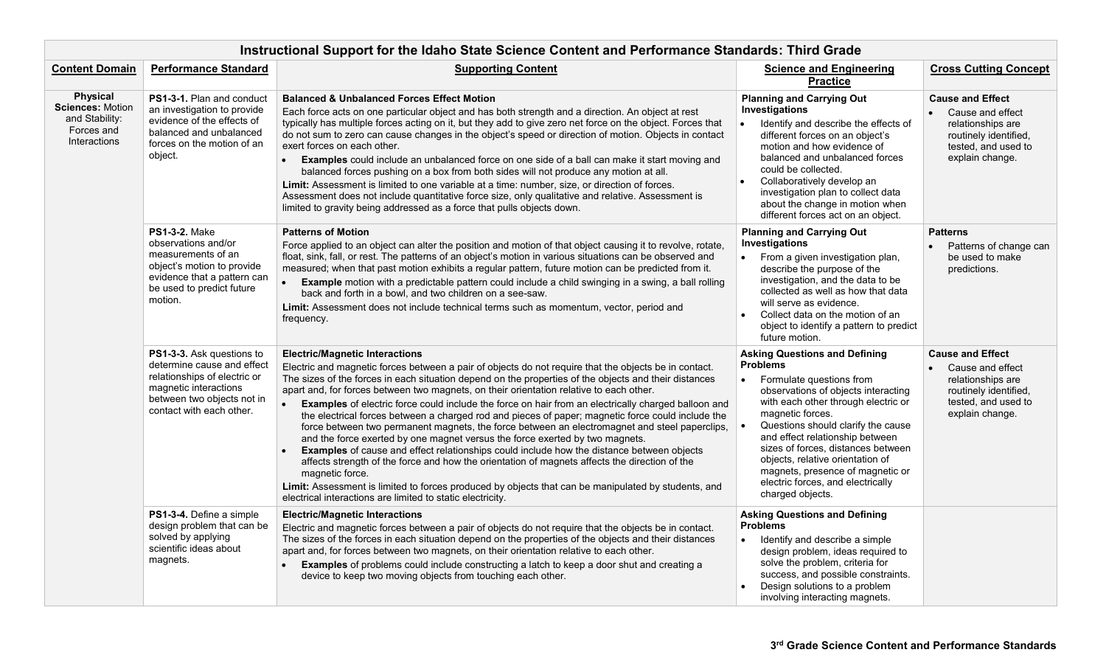| Instructional Support for the Idaho State Science Content and Performance Standards: Third Grade |                                                                                                                                                                            |                                                                                                                                                                                                                                                                                                                                                                                                                                                                                                                                                                                                                                                                                                                                                                                                                                                                                                                                                                                                                                                                                                                                       |                                                                                                                                                                                                                                                                                                                                                                                                                                                    |                                                                                                                                     |  |  |  |  |
|--------------------------------------------------------------------------------------------------|----------------------------------------------------------------------------------------------------------------------------------------------------------------------------|---------------------------------------------------------------------------------------------------------------------------------------------------------------------------------------------------------------------------------------------------------------------------------------------------------------------------------------------------------------------------------------------------------------------------------------------------------------------------------------------------------------------------------------------------------------------------------------------------------------------------------------------------------------------------------------------------------------------------------------------------------------------------------------------------------------------------------------------------------------------------------------------------------------------------------------------------------------------------------------------------------------------------------------------------------------------------------------------------------------------------------------|----------------------------------------------------------------------------------------------------------------------------------------------------------------------------------------------------------------------------------------------------------------------------------------------------------------------------------------------------------------------------------------------------------------------------------------------------|-------------------------------------------------------------------------------------------------------------------------------------|--|--|--|--|
| <b>Content Domain</b>                                                                            | <b>Performance Standard</b>                                                                                                                                                | <b>Supporting Content</b>                                                                                                                                                                                                                                                                                                                                                                                                                                                                                                                                                                                                                                                                                                                                                                                                                                                                                                                                                                                                                                                                                                             | <b>Science and Engineering</b><br><b>Practice</b>                                                                                                                                                                                                                                                                                                                                                                                                  | <b>Cross Cutting Concept</b>                                                                                                        |  |  |  |  |
| <b>Physical</b><br><b>Sciences: Motion</b><br>and Stability:<br>Forces and<br>Interactions       | PS1-3-1. Plan and conduct<br>an investigation to provide<br>evidence of the effects of<br>balanced and unbalanced<br>forces on the motion of an<br>object.                 | <b>Balanced &amp; Unbalanced Forces Effect Motion</b><br>Each force acts on one particular object and has both strength and a direction. An object at rest<br>typically has multiple forces acting on it, but they add to give zero net force on the object. Forces that<br>do not sum to zero can cause changes in the object's speed or direction of motion. Objects in contact<br>exert forces on each other.<br>Examples could include an unbalanced force on one side of a ball can make it start moving and<br>$\bullet$<br>balanced forces pushing on a box from both sides will not produce any motion at all.<br>Limit: Assessment is limited to one variable at a time: number, size, or direction of forces.<br>Assessment does not include quantitative force size, only qualitative and relative. Assessment is<br>limited to gravity being addressed as a force that pulls objects down.                                                                                                                                                                                                                                | <b>Planning and Carrying Out</b><br>Investigations<br>Identify and describe the effects of<br>$\bullet$<br>different forces on an object's<br>motion and how evidence of<br>balanced and unbalanced forces<br>could be collected.<br>Collaboratively develop an<br>investigation plan to collect data<br>about the change in motion when<br>different forces act on an object.                                                                     | <b>Cause and Effect</b><br>Cause and effect<br>relationships are<br>routinely identified,<br>tested, and used to<br>explain change. |  |  |  |  |
|                                                                                                  | <b>PS1-3-2. Make</b><br>observations and/or<br>measurements of an<br>object's motion to provide<br>evidence that a pattern can<br>be used to predict future<br>motion.     | <b>Patterns of Motion</b><br>Force applied to an object can alter the position and motion of that object causing it to revolve, rotate,<br>float, sink, fall, or rest. The patterns of an object's motion in various situations can be observed and<br>measured; when that past motion exhibits a regular pattern, future motion can be predicted from it.<br>Example motion with a predictable pattern could include a child swinging in a swing, a ball rolling<br>back and forth in a bowl, and two children on a see-saw.<br>Limit: Assessment does not include technical terms such as momentum, vector, period and<br>frequency.                                                                                                                                                                                                                                                                                                                                                                                                                                                                                                | <b>Planning and Carrying Out</b><br>Investigations<br>From a given investigation plan,<br>describe the purpose of the<br>investigation, and the data to be<br>collected as well as how that data<br>will serve as evidence.<br>Collect data on the motion of an<br>object to identify a pattern to predict<br>future motion.                                                                                                                       | <b>Patterns</b><br>Patterns of change can<br>be used to make<br>predictions.                                                        |  |  |  |  |
|                                                                                                  | PS1-3-3. Ask questions to<br>determine cause and effect<br>relationships of electric or<br>magnetic interactions<br>between two objects not in<br>contact with each other. | <b>Electric/Magnetic Interactions</b><br>Electric and magnetic forces between a pair of objects do not require that the objects be in contact.<br>The sizes of the forces in each situation depend on the properties of the objects and their distances<br>apart and, for forces between two magnets, on their orientation relative to each other.<br>Examples of electric force could include the force on hair from an electrically charged balloon and<br>the electrical forces between a charged rod and pieces of paper; magnetic force could include the<br>force between two permanent magnets, the force between an electromagnet and steel paperclips,<br>and the force exerted by one magnet versus the force exerted by two magnets.<br>Examples of cause and effect relationships could include how the distance between objects<br>affects strength of the force and how the orientation of magnets affects the direction of the<br>magnetic force.<br>Limit: Assessment is limited to forces produced by objects that can be manipulated by students, and<br>electrical interactions are limited to static electricity. | <b>Asking Questions and Defining</b><br><b>Problems</b><br>Formulate questions from<br>$\bullet$<br>observations of objects interacting<br>with each other through electric or<br>magnetic forces.<br>Questions should clarify the cause<br>and effect relationship between<br>sizes of forces, distances between<br>objects, relative orientation of<br>magnets, presence of magnetic or<br>electric forces, and electrically<br>charged objects. | <b>Cause and Effect</b><br>Cause and effect<br>relationships are<br>routinely identified,<br>tested, and used to<br>explain change. |  |  |  |  |
|                                                                                                  | PS1-3-4. Define a simple<br>design problem that can be<br>solved by applying<br>scientific ideas about<br>magnets.                                                         | <b>Electric/Magnetic Interactions</b><br>Electric and magnetic forces between a pair of objects do not require that the objects be in contact.<br>The sizes of the forces in each situation depend on the properties of the objects and their distances<br>apart and, for forces between two magnets, on their orientation relative to each other.<br>Examples of problems could include constructing a latch to keep a door shut and creating a<br>$\bullet$<br>device to keep two moving objects from touching each other.                                                                                                                                                                                                                                                                                                                                                                                                                                                                                                                                                                                                          | <b>Asking Questions and Defining</b><br><b>Problems</b><br>Identify and describe a simple<br>design problem, ideas required to<br>solve the problem, criteria for<br>success, and possible constraints.<br>Design solutions to a problem<br>involving interacting magnets.                                                                                                                                                                         |                                                                                                                                     |  |  |  |  |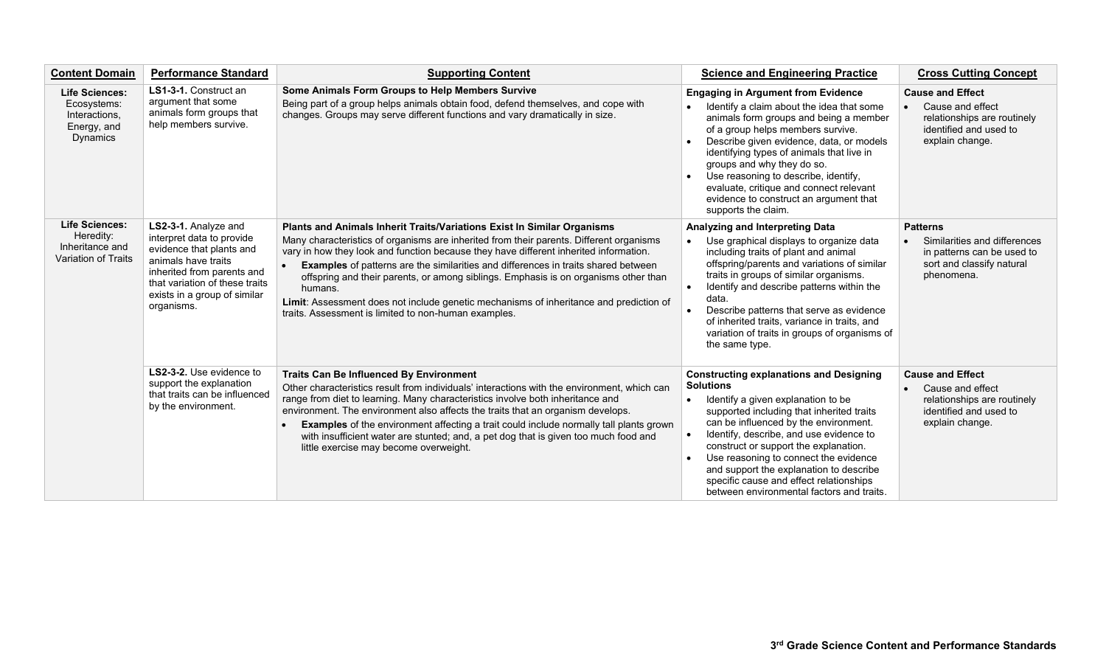| <b>Content Domain</b>                                                            | <b>Performance Standard</b>                                                                                                                                                                                        | <b>Supporting Content</b>                                                                                                                                                                                                                                                                                                                                                                                                                                                                                                                                                                                    | <b>Science and Engineering Practice</b>                                                                                                                                                                                                                                                                                                                                                                                                                        | <b>Cross Cutting Concept</b>                                                                                             |
|----------------------------------------------------------------------------------|--------------------------------------------------------------------------------------------------------------------------------------------------------------------------------------------------------------------|--------------------------------------------------------------------------------------------------------------------------------------------------------------------------------------------------------------------------------------------------------------------------------------------------------------------------------------------------------------------------------------------------------------------------------------------------------------------------------------------------------------------------------------------------------------------------------------------------------------|----------------------------------------------------------------------------------------------------------------------------------------------------------------------------------------------------------------------------------------------------------------------------------------------------------------------------------------------------------------------------------------------------------------------------------------------------------------|--------------------------------------------------------------------------------------------------------------------------|
| <b>Life Sciences:</b><br>Ecosystems:<br>Interactions,<br>Energy, and<br>Dynamics | LS1-3-1. Construct an<br>argument that some<br>animals form groups that<br>help members survive.                                                                                                                   | Some Animals Form Groups to Help Members Survive<br>Being part of a group helps animals obtain food, defend themselves, and cope with<br>changes. Groups may serve different functions and vary dramatically in size.                                                                                                                                                                                                                                                                                                                                                                                        | <b>Engaging in Argument from Evidence</b><br>Identify a claim about the idea that some<br>animals form groups and being a member<br>of a group helps members survive.<br>Describe given evidence, data, or models<br>identifying types of animals that live in<br>groups and why they do so.<br>Use reasoning to describe, identify,<br>evaluate, critique and connect relevant<br>evidence to construct an argument that<br>supports the claim.               | <b>Cause and Effect</b><br>Cause and effect<br>relationships are routinely<br>identified and used to<br>explain change.  |
| <b>Life Sciences:</b><br>Heredity:<br>Inheritance and<br>Variation of Traits     | LS2-3-1. Analyze and<br>interpret data to provide<br>evidence that plants and<br>animals have traits<br>inherited from parents and<br>that variation of these traits<br>exists in a group of similar<br>organisms. | Plants and Animals Inherit Traits/Variations Exist In Similar Organisms<br>Many characteristics of organisms are inherited from their parents. Different organisms<br>vary in how they look and function because they have different inherited information.<br><b>Examples</b> of patterns are the similarities and differences in traits shared between<br>offspring and their parents, or among siblings. Emphasis is on organisms other than<br>humans.<br>Limit: Assessment does not include genetic mechanisms of inheritance and prediction of<br>traits. Assessment is limited to non-human examples. | Analyzing and Interpreting Data<br>Use graphical displays to organize data<br>including traits of plant and animal<br>offspring/parents and variations of similar<br>traits in groups of similar organisms.<br>Identify and describe patterns within the<br>data.<br>Describe patterns that serve as evidence<br>of inherited traits, variance in traits, and<br>variation of traits in groups of organisms of<br>the same type.                               | <b>Patterns</b><br>Similarities and differences<br>in patterns can be used to<br>sort and classify natural<br>phenomena. |
|                                                                                  | LS2-3-2. Use evidence to<br>support the explanation<br>that traits can be influenced<br>by the environment.                                                                                                        | <b>Traits Can Be Influenced By Environment</b><br>Other characteristics result from individuals' interactions with the environment, which can<br>range from diet to learning. Many characteristics involve both inheritance and<br>environment. The environment also affects the traits that an organism develops.<br>Examples of the environment affecting a trait could include normally tall plants grown<br>with insufficient water are stunted; and, a pet dog that is given too much food and<br>little exercise may become overweight.                                                                | <b>Constructing explanations and Designing</b><br><b>Solutions</b><br>Identify a given explanation to be<br>supported including that inherited traits<br>can be influenced by the environment.<br>Identify, describe, and use evidence to<br>construct or support the explanation.<br>Use reasoning to connect the evidence<br>and support the explanation to describe<br>specific cause and effect relationships<br>between environmental factors and traits. | <b>Cause and Effect</b><br>Cause and effect<br>relationships are routinely<br>identified and used to<br>explain change.  |